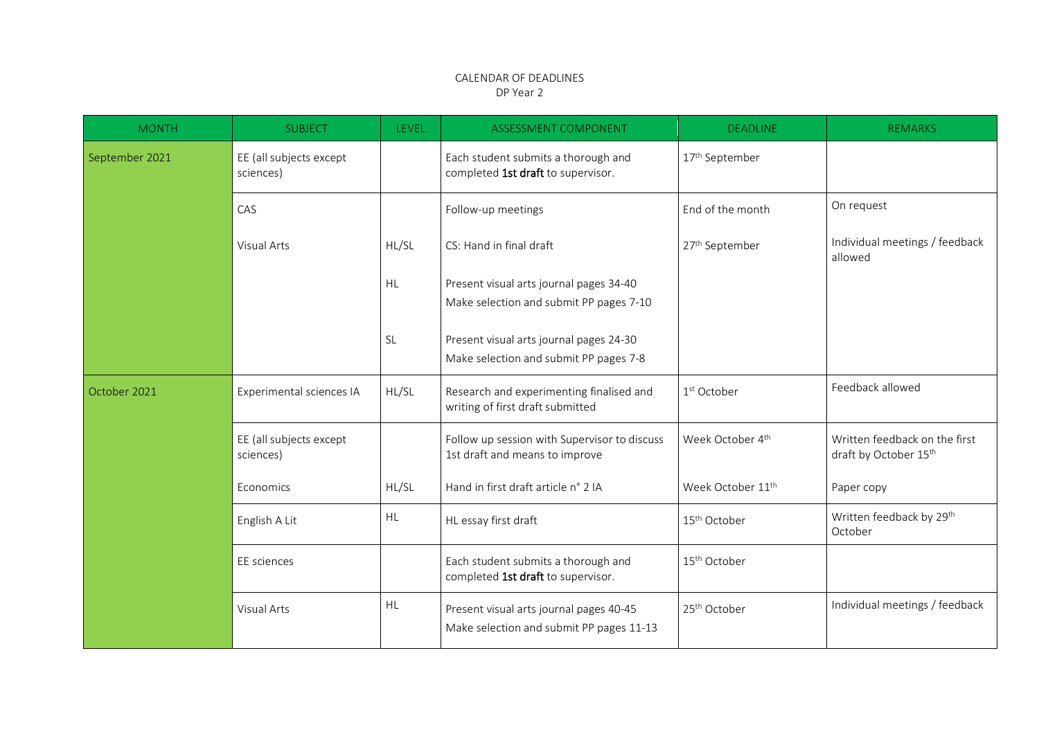## CALENDAR OF DEADLINES DP Year 2

| <b>MONTH</b>   | <b>SUBJECT</b>                       | <b>LEVEL</b> | ASSESSMENT COMPONENT                                                                | <b>DEADLINE</b>               | <b>REMARKS</b>                                         |
|----------------|--------------------------------------|--------------|-------------------------------------------------------------------------------------|-------------------------------|--------------------------------------------------------|
| September 2021 | EE (all subjects except<br>sciences) |              | Each student submits a thorough and<br>completed 1st draft to supervisor.           | 17 <sup>th</sup> September    |                                                        |
|                | CAS                                  |              | Follow-up meetings                                                                  | End of the month              | On request                                             |
|                | <b>Visual Arts</b>                   | HL/SL        | CS: Hand in final draft                                                             | 27 <sup>th</sup> September    | Individual meetings / feedback<br>allowed              |
|                |                                      | <b>HL</b>    | Present visual arts journal pages 34-40<br>Make selection and submit PP pages 7-10  |                               |                                                        |
|                |                                      | <b>SL</b>    | Present visual arts journal pages 24-30<br>Make selection and submit PP pages 7-8   |                               |                                                        |
| October 2021   | Experimental sciences IA             | HL/SL        | Research and experimenting finalised and<br>writing of first draft submitted        | 1 <sup>st</sup> October       | Feedback allowed                                       |
|                | EE (all subjects except<br>sciences) |              | Follow up session with Supervisor to discuss<br>1st draft and means to improve      | Week October 4th              | Written feedback on the first<br>draft by October 15th |
|                | Economics                            | HL/SL        | Hand in first draft article n° 2 IA                                                 | Week October 11 <sup>th</sup> | Paper copy                                             |
|                | English A Lit                        | <b>HL</b>    | HL essay first draft                                                                | 15 <sup>th</sup> October      | Written feedback by 29th<br>October                    |
|                | EE sciences                          |              | Each student submits a thorough and<br>completed 1st draft to supervisor.           | 15 <sup>th</sup> October      |                                                        |
|                | <b>Visual Arts</b>                   | HL           | Present visual arts journal pages 40-45<br>Make selection and submit PP pages 11-13 | 25 <sup>th</sup> October      | Individual meetings / feedback                         |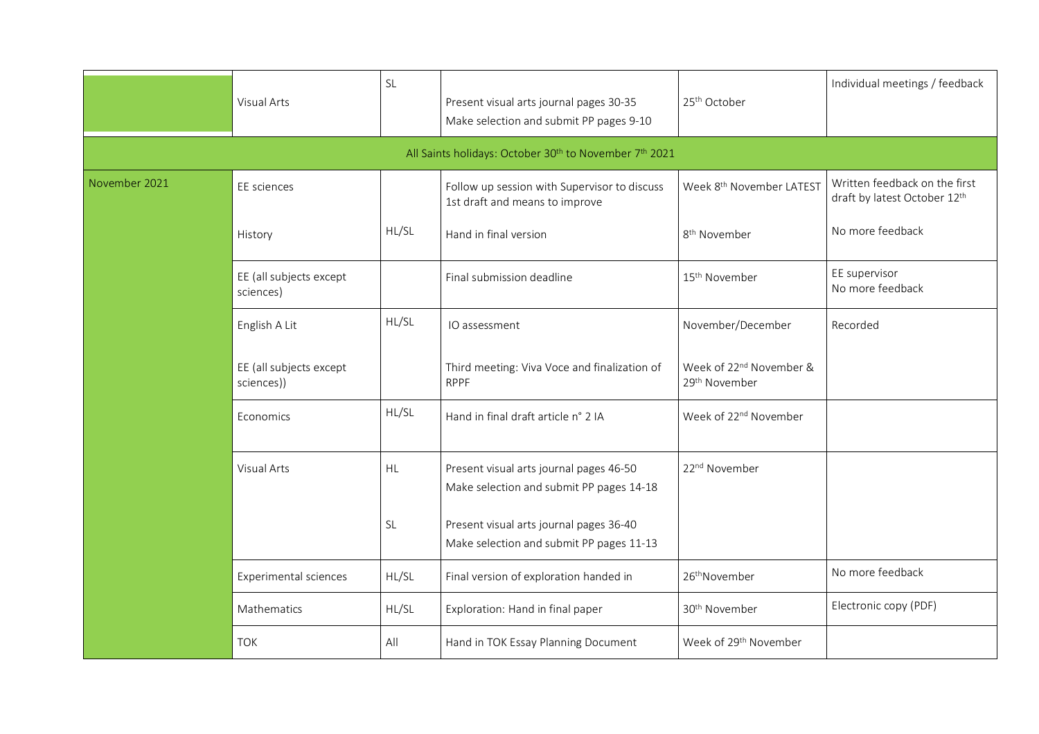|               | Visual Arts                           | SL        | Present visual arts journal pages 30-35<br>Make selection and submit PP pages 9-10  | 25 <sup>th</sup> October                                         | Individual meetings / feedback                                |
|---------------|---------------------------------------|-----------|-------------------------------------------------------------------------------------|------------------------------------------------------------------|---------------------------------------------------------------|
|               |                                       |           | All Saints holidays: October 30 <sup>th</sup> to November 7 <sup>th</sup> 2021      |                                                                  |                                                               |
| November 2021 | EE sciences                           |           | Follow up session with Supervisor to discuss<br>1st draft and means to improve      | Week 8 <sup>th</sup> November LATEST                             | Written feedback on the first<br>draft by latest October 12th |
|               | History                               | HL/SL     | Hand in final version                                                               | 8 <sup>th</sup> November                                         | No more feedback                                              |
|               | EE (all subjects except<br>sciences)  |           | Final submission deadline                                                           | 15 <sup>th</sup> November                                        | EE supervisor<br>No more feedback                             |
|               | English A Lit                         | HL/SL     | IO assessment                                                                       | November/December                                                | Recorded                                                      |
|               | EE (all subjects except<br>sciences)) |           | Third meeting: Viva Voce and finalization of<br><b>RPPF</b>                         | Week of 22 <sup>nd</sup> November &<br>29 <sup>th</sup> November |                                                               |
|               | Economics                             | HL/SL     | Hand in final draft article n° 2 IA                                                 | Week of 22 <sup>nd</sup> November                                |                                                               |
|               | Visual Arts                           | HL        | Present visual arts journal pages 46-50<br>Make selection and submit PP pages 14-18 | 22 <sup>nd</sup> November                                        |                                                               |
|               |                                       | <b>SL</b> | Present visual arts journal pages 36-40<br>Make selection and submit PP pages 11-13 |                                                                  |                                                               |
|               | Experimental sciences                 | HL/SL     | Final version of exploration handed in                                              | 26 <sup>th</sup> November                                        | No more feedback                                              |
|               | Mathematics                           | HL/SL     | Exploration: Hand in final paper                                                    | 30 <sup>th</sup> November                                        | Electronic copy (PDF)                                         |
|               | <b>TOK</b>                            | All       | Hand in TOK Essay Planning Document                                                 | Week of 29 <sup>th</sup> November                                |                                                               |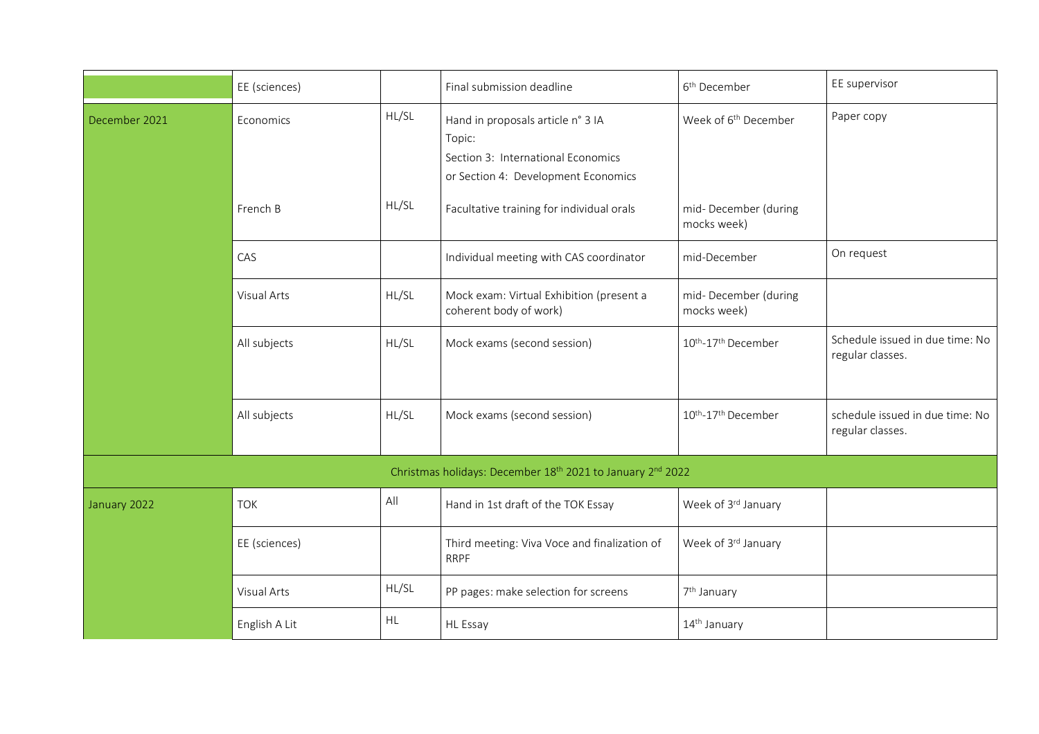|                                                            | EE (sciences)      |       | Final submission deadline                                                                                                | 6 <sup>th</sup> December            | EE supervisor                                       |
|------------------------------------------------------------|--------------------|-------|--------------------------------------------------------------------------------------------------------------------------|-------------------------------------|-----------------------------------------------------|
| December 2021                                              | Economics          | HL/SL | Hand in proposals article n° 3 IA<br>Topic:<br>Section 3: International Economics<br>or Section 4: Development Economics | Week of 6 <sup>th</sup> December    | Paper copy                                          |
|                                                            | French B           | HL/SL | Facultative training for individual orals                                                                                | mid-December (during<br>mocks week) |                                                     |
|                                                            | CAS                |       | Individual meeting with CAS coordinator                                                                                  | mid-December                        | On request                                          |
|                                                            | <b>Visual Arts</b> | HL/SL | Mock exam: Virtual Exhibition (present a<br>coherent body of work)                                                       | mid-December (during<br>mocks week) |                                                     |
|                                                            | All subjects       | HL/SL | Mock exams (second session)                                                                                              | 10th-17th December                  | Schedule issued in due time: No<br>regular classes. |
|                                                            | All subjects       | HL/SL | Mock exams (second session)                                                                                              | 10th-17th December                  | schedule issued in due time: No<br>regular classes. |
| Christmas holidays: December 18th 2021 to January 2nd 2022 |                    |       |                                                                                                                          |                                     |                                                     |
| January 2022                                               | <b>TOK</b>         | All   | Hand in 1st draft of the TOK Essay                                                                                       | Week of 3rd January                 |                                                     |
|                                                            | EE (sciences)      |       | Third meeting: Viva Voce and finalization of<br><b>RRPF</b>                                                              | Week of 3rd January                 |                                                     |
|                                                            | <b>Visual Arts</b> | HL/SL | PP pages: make selection for screens                                                                                     | 7 <sup>th</sup> January             |                                                     |
|                                                            | English A Lit      | HL    | HL Essay                                                                                                                 | 14 <sup>th</sup> January            |                                                     |
|                                                            |                    |       |                                                                                                                          |                                     |                                                     |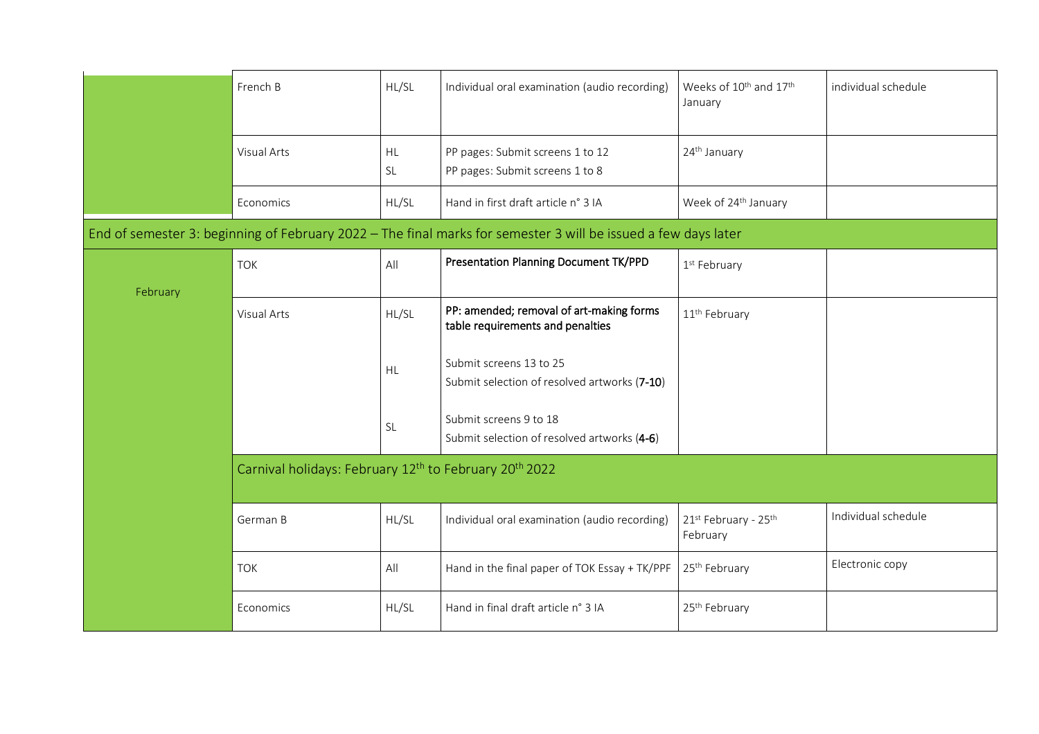|          | French B                                                                       | HL/SL                  | Individual oral examination (audio recording)                                                                  | Weeks of 10 <sup>th</sup> and 17 <sup>th</sup><br>January | individual schedule |  |
|----------|--------------------------------------------------------------------------------|------------------------|----------------------------------------------------------------------------------------------------------------|-----------------------------------------------------------|---------------------|--|
|          | Visual Arts                                                                    | <b>HL</b><br><b>SL</b> | PP pages: Submit screens 1 to 12<br>PP pages: Submit screens 1 to 8                                            | 24 <sup>th</sup> January                                  |                     |  |
|          | Economics                                                                      | HL/SL                  | Hand in first draft article n° 3 IA                                                                            | Week of 24 <sup>th</sup> January                          |                     |  |
|          |                                                                                |                        | End of semester 3: beginning of February 2022 – The final marks for semester 3 will be issued a few days later |                                                           |                     |  |
| February | <b>TOK</b>                                                                     | All                    | <b>Presentation Planning Document TK/PPD</b>                                                                   | 1 <sup>st</sup> February                                  |                     |  |
|          | <b>Visual Arts</b>                                                             | HL/SL                  | PP: amended; removal of art-making forms<br>table requirements and penalties                                   | 11 <sup>th</sup> February                                 |                     |  |
|          |                                                                                | <b>HL</b>              | Submit screens 13 to 25<br>Submit selection of resolved artworks (7-10)                                        |                                                           |                     |  |
|          |                                                                                | <b>SL</b>              | Submit screens 9 to 18<br>Submit selection of resolved artworks (4-6)                                          |                                                           |                     |  |
|          | Carnival holidays: February 12 <sup>th</sup> to February 20 <sup>th</sup> 2022 |                        |                                                                                                                |                                                           |                     |  |
|          | German B                                                                       | HL/SL                  | Individual oral examination (audio recording)                                                                  | 21st February - 25th<br>February                          | Individual schedule |  |
|          | <b>TOK</b>                                                                     | All                    | Hand in the final paper of TOK Essay + TK/PPF                                                                  | 25 <sup>th</sup> February                                 | Electronic copy     |  |
|          | Economics                                                                      | HL/SL                  | Hand in final draft article n° 3 IA                                                                            | 25 <sup>th</sup> February                                 |                     |  |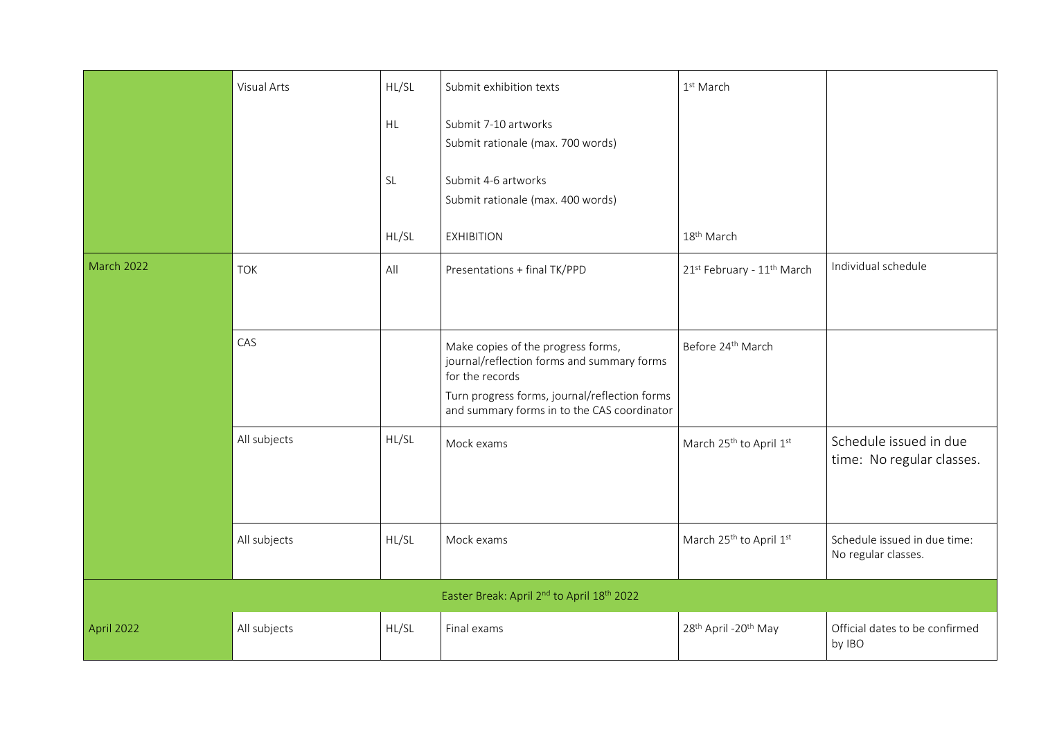|                                                                    | Visual Arts  | HL/SL     | Submit exhibition texts                                                                                                                                                                             | 1 <sup>st</sup> March                        |                                                     |
|--------------------------------------------------------------------|--------------|-----------|-----------------------------------------------------------------------------------------------------------------------------------------------------------------------------------------------------|----------------------------------------------|-----------------------------------------------------|
|                                                                    |              | HL        | Submit 7-10 artworks<br>Submit rationale (max. 700 words)                                                                                                                                           |                                              |                                                     |
|                                                                    |              | <b>SL</b> | Submit 4-6 artworks<br>Submit rationale (max. 400 words)                                                                                                                                            |                                              |                                                     |
|                                                                    |              | HL/SL     | <b>EXHIBITION</b>                                                                                                                                                                                   | 18 <sup>th</sup> March                       |                                                     |
| <b>March 2022</b>                                                  | <b>TOK</b>   | All       | Presentations + final TK/PPD                                                                                                                                                                        | 21st February - 11th March                   | Individual schedule                                 |
|                                                                    | CAS          |           | Make copies of the progress forms,<br>journal/reflection forms and summary forms<br>for the records<br>Turn progress forms, journal/reflection forms<br>and summary forms in to the CAS coordinator | Before 24 <sup>th</sup> March                |                                                     |
|                                                                    | All subjects | HL/SL     | Mock exams                                                                                                                                                                                          | March 25 <sup>th</sup> to April 1st          | Schedule issued in due<br>time: No regular classes. |
|                                                                    | All subjects | HL/SL     | Mock exams                                                                                                                                                                                          | March 25 <sup>th</sup> to April 1st          | Schedule issued in due time:<br>No regular classes. |
| Easter Break: April 2 <sup>nd</sup> to April 18 <sup>th</sup> 2022 |              |           |                                                                                                                                                                                                     |                                              |                                                     |
| April 2022                                                         | All subjects | HL/SL     | Final exams                                                                                                                                                                                         | 28 <sup>th</sup> April -20 <sup>th</sup> May | Official dates to be confirmed<br>by IBO            |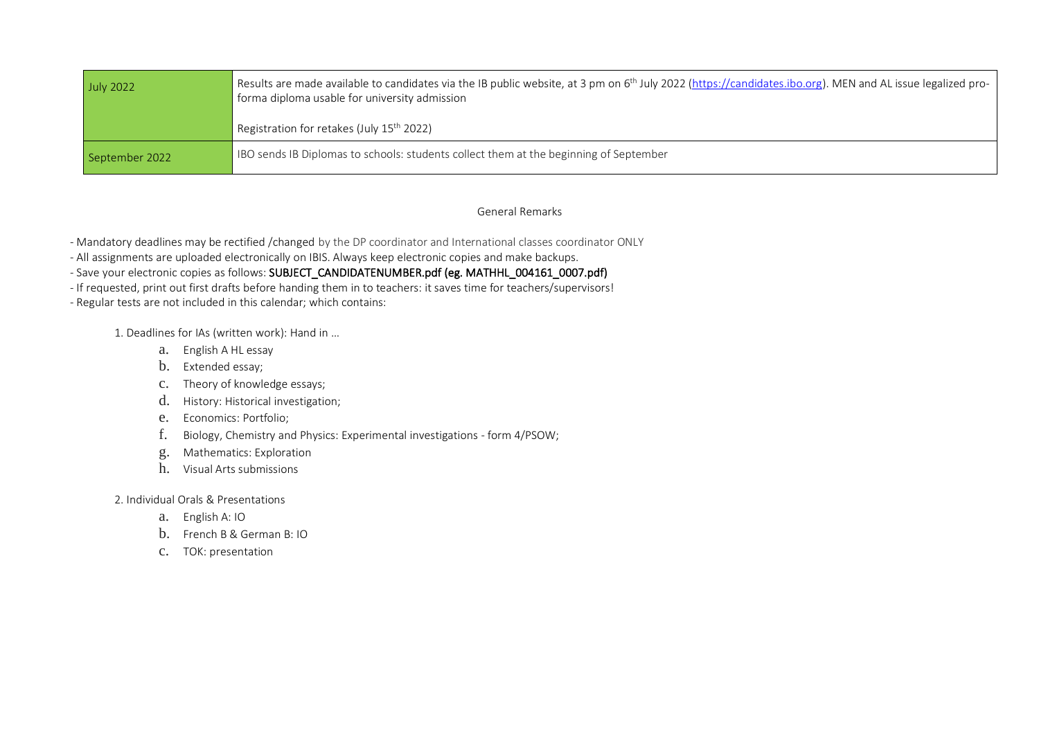| <b>July 2022</b> | Results are made available to candidates via the IB public website, at 3 pm on 6 <sup>th</sup> July 2022 (https://candidates.ibo.org). MEN and AL issue legalized pro-<br>forma diploma usable for university admission |
|------------------|-------------------------------------------------------------------------------------------------------------------------------------------------------------------------------------------------------------------------|
|                  | Registration for retakes (July 15 <sup>th</sup> 2022)                                                                                                                                                                   |
| September 2022   | IBO sends IB Diplomas to schools: students collect them at the beginning of September                                                                                                                                   |

## General Remarks

- Mandatory deadlines may be rectified /changed by the DP coordinator and International classes coordinator ONLY

- All assignments are uploaded electronically on IBIS. Always keep electronic copies and make backups.

- Save your electronic copies as follows: SUBJECT\_CANDIDATENUMBER.pdf (eg. MATHHL\_004161\_0007.pdf)

- If requested, print out first drafts before handing them in to teachers: it saves time for teachers/supervisors!

- Regular tests are not included in this calendar; which contains:

1. Deadlines for IAs (written work): Hand in …

- a. English A HL essay
- b. Extended essay;
- c. Theory of knowledge essays;
- d. History: Historical investigation;
- e. Economics: Portfolio;
- f. Biology, Chemistry and Physics: Experimental investigations form 4/PSOW;
- g. Mathematics: Exploration
- h. Visual Arts submissions

2. Individual Orals & Presentations

- a. English A: IO
- b. French B & German B: IO
- c. TOK: presentation